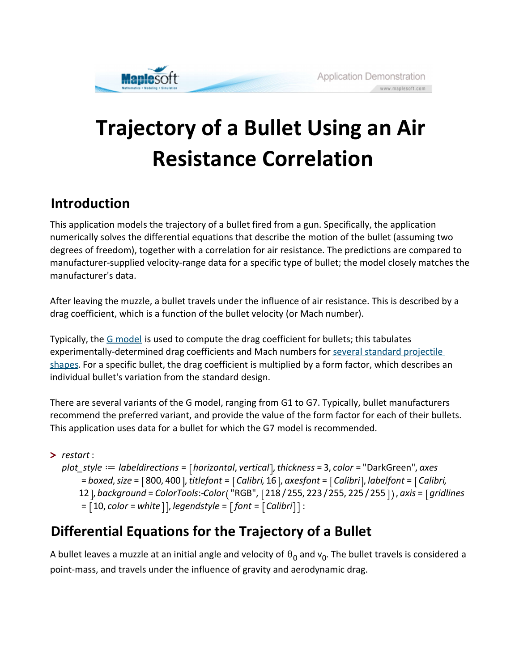

# Trajectory of a Bullet Using an Air Resistance Correlation

## Introduction

This application models the trajectory of a bullet fired from a gun. Specifically, the application numerically solves the differential equations that describe the motion of the bullet (assuming two degrees of freedom), together with a correlation for air resistance. The predictions are compared to manufacturer-supplied velocity-range data for a specific type of bullet; the model closely matches the manufacturer's data.

After leaving the muzzle, a bullet travels under the influence of air resistance. This is described by a drag coefficient, which is a function of the bullet velocity (or Mach number).

Typically, the G model is used to compute the drag coefficient for bullets; this tabulates experimentally-determined drag coefficients and Mach numbers for several standard projectile shapes. For a specific bullet, the drag coefficient is multiplied by a form factor, which describes an individual bullet's variation from the standard design.

There are several variants of the G model, ranging from G1 to G7. Typically, bullet manufacturers recommend the preferred variant, and provide the value of the form factor for each of their bullets. This application uses data for a bullet for which the G7 model is recommended.

```
> 
restart :
  plot style := labeldirections = [horizontal, vertical], thickness = 3, color = "DarkGreen", axes
       = boxed, size = [800, 400], titlefont = [Calibri, 16], axesfont = [Calibri], labelfont = [Calibri]12 ], background = ColorTools:-Color("RGB", [218 / 255, 223 / 255, 225 / 255 ]), axis = [gridlines
       = [10, color = white], legendstyle = [font = [Calibri]:
```
# Differential Equations for the Trajectory of a Bullet

A bullet leaves a muzzle at an initial angle and velocity of  $\theta_0$  and  $\mathsf{v}_0$ . The bullet travels is considered a point-mass, and travels under the influence of gravity and aerodynamic drag.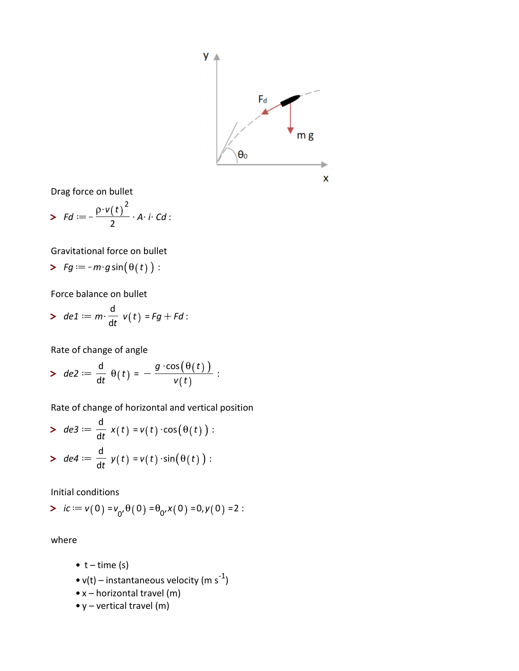

Drag force on bullet

> 
$$
Fd := -\frac{\rho \cdot v(t)^2}{2} \cdot A \cdot i \cdot Cd
$$
:

Gravitational force on bullet

> 
$$
Fg := -m \cdot g \sin(\theta(t))
$$
:

Force balance on bullet

> 
$$
de1 := m \cdot \frac{d}{dt} v(t) = Fg + Fd
$$
:

Rate of change of angle

> de2d d dt q t = K g \$cos q t v t :

Rate of change of horizontal and vertical position

> 
$$
de3 := \frac{d}{dt} x(t) = v(t) \cdot cos(\theta(t)) :
$$
  
>  $de4 := \frac{d}{dt} y(t) = v(t) \cdot sin(\theta(t)) :$ 

Initial conditions

> 
$$
ic := v(0) = v_0, \theta(0) = \theta_0, x(0) = 0, y(0) = 2
$$
:

where

- $\bullet$  t time (s)
- v(t) instantaneous velocity (m s<sup>-1</sup>)
- x horizontal travel (m)
- y vertical travel (m)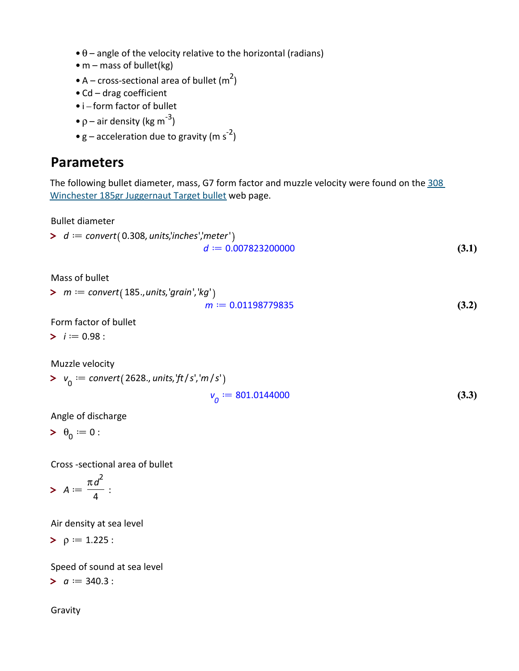- $\bullet$   $\theta$  angle of the velocity relative to the horizontal (radians)
- m mass of bullet(kg)
- A cross-sectional area of bullet  $(m^2)$
- Cd drag coefficient
- i-form factor of bullet
- $\rho$  air density (kg m<sup>-3</sup>)
- $g$  acceleration due to gravity (m s<sup>-2</sup>)

### Parameters

The following bullet diameter, mass, G7 form factor and muzzle velocity were found on the 308 Winchester 185gr Juggernaut Target bullet web page.

Bullet diameter

> 
$$
d :=
$$
 convert(0.308, units/inches','meter')  
 $d :=$  0.007823200000 (3.1)

Mass of bullet

 $> m := convert(185., units, 'grain', 'kg')$ 

$$
m := 0.01198779835 \tag{3.2}
$$

Form factor of bullet

 $\blacktriangleright$  *i* := 0.98 :

Muzzle velocity

> 
$$
v_0 := \text{convert}(2628., \text{units}, \text{'ft/s'}, \text{'m/s'})
$$
  

$$
v_0 := 801.0144000 \tag{3.3}
$$

Angle of discharge

$$
\qquad \qquad >\theta _{0}:=0:
$$

Cross -sectional area of bullet

$$
\triangleright A := \frac{\pi d^2}{4} :
$$

Air density at sea level

 $\mathsf{p} := 1.225$  :

Speed of sound at sea level

 $> a := 340.3$ :

Gravity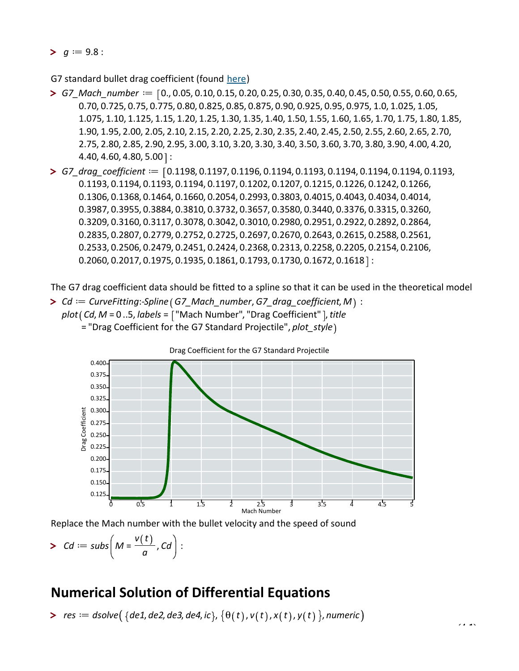$> g := 9.8$ :

G7 standard bullet drag coefficient (found here)

- $>$  G7\_Mach\_number  $:=$   $[0., 0.05, 0.10, 0.15, 0.20, 0.25, 0.30, 0.35, 0.40, 0.45, 0.50, 0.55, 0.60, 0.65,$ 0.70, 0.725, 0.75, 0.775, 0.80, 0.825, 0.85, 0.875, 0.90, 0.925, 0.95, 0.975, 1.0, 1.025, 1.05, 1.075, 1.10, 1.125, 1.15, 1.20, 1.25, 1.30, 1.35, 1.40, 1.50, 1.55, 1.60, 1.65, 1.70, 1.75, 1.80, 1.85, 1.90, 1.95, 2.00, 2.05, 2.10, 2.15, 2.20, 2.25, 2.30, 2.35, 2.40, 2.45, 2.50, 2.55, 2.60, 2.65, 2.70, 2.75, 2.80, 2.85, 2.90, 2.95, 3.00, 3.10, 3.20, 3.30, 3.40, 3.50, 3.60, 3.70, 3.80, 3.90, 4.00, 4.20,  $4.40, 4.60, 4.80, 5.00$  :
- $>$  G7\_drag\_coefficient :=  $\lceil 0.1198, 0.1197, 0.1196, 0.1194, 0.1193, 0.1194, 0.1194, 0.1193,$ 0.1193, 0.1194, 0.1193, 0.1194, 0.1197, 0.1202, 0.1207, 0.1215, 0.1226, 0.1242, 0.1266, 0.1306, 0.1368, 0.1464, 0.1660, 0.2054, 0.2993, 0.3803, 0.4015, 0.4043, 0.4034, 0.4014, 0.3987, 0.3955, 0.3884, 0.3810, 0.3732, 0.3657, 0.3580, 0.3440, 0.3376, 0.3315, 0.3260, 0.3209, 0.3160, 0.3117, 0.3078, 0.3042, 0.3010, 0.2980, 0.2951, 0.2922, 0.2892, 0.2864, 0.2835, 0.2807, 0.2779, 0.2752, 0.2725, 0.2697, 0.2670, 0.2643, 0.2615, 0.2588, 0.2561, 0.2533, 0.2506, 0.2479, 0.2451, 0.2424, 0.2368, 0.2313, 0.2258, 0.2205, 0.2154, 0.2106,  $0.2060, 0.2017, 0.1975, 0.1935, 0.1861, 0.1793, 0.1730, 0.1672, 0.1618$  :

The G7 drag coefficient data should be fitted to a spline so that it can be used in the theoretical model

 $\triangleright$  Cd  $:=$  CurveFitting:-Spline (G7\_Mach\_number, G7\_drag\_coefficient, M) :  $plot(Cd, M = 0..5, labels = ['Mach Number", "Drag Coefficient" ], title$ = "Drag Coefficient for the G7 Standard Projectile", plot\_style)



Replace the Mach number with the bullet velocity and the speed of sound

$$
>\;Cd:=subs\bigg(M=\frac{v(t)}{a},Cd\bigg):
$$

#### Numerical Solution of Differential Equations

> res ddsolve de1, de2, de3, de4, ic , q t , v t , x t , y t , numeric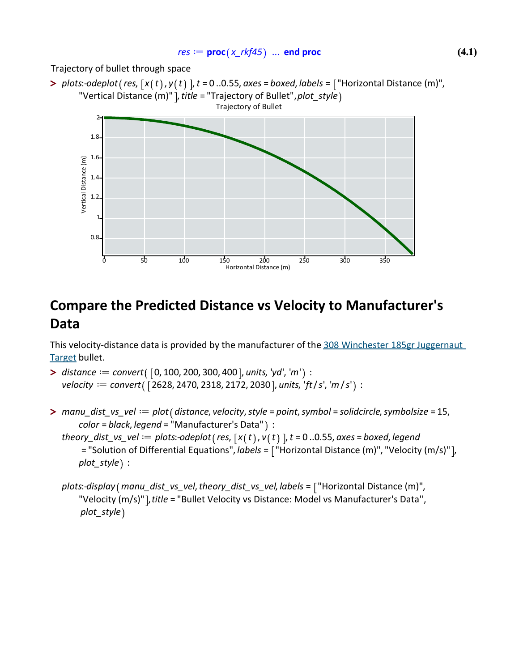#### $res \coloneqq \mathbf{proc}(x_r\mathit{rkf45})$  ... end proc

Trajectory of bullet through space

> plots:-odeplot (res,  $[x(t), y(t)]$ , t = 0..0.55, axes = boxed, labels = ["Horizontal Distance (m)", "Vertical Distance (m)" ], title = "Trajectory of Bullet", plot\_style) Trajectory of Bullet



# Compare the Predicted Distance vs Velocity to Manufacturer's Data

This velocity-distance data is provided by the manufacturer of the 308 Winchester 185gr Juggernaut Target bullet.

- $\triangleright$  distance  $:=$  convert( [0, 100, 200, 300, 400 ], units, 'yd', 'm') : velocity  $:=$  convert ([2628, 2470, 2318, 2172, 2030], units, 'ft/s', 'm/s') :
- $>$  manu\_dist\_vs\_vel  $:=$  plot (distance, velocity, style = point, symbol = solidcircle, symbolsize = 15,  $color = black, legend = "Manufacturer's Data"$ ) :
	- theory\_dist\_vs\_vel := plots:-odeplot(res,  $[x(t), v(t)]$ ,  $t = 0$ ..0.55, axes = boxed, legend = "Solution of Differential Equations",  $labels = \lceil$  "Horizontal Distance (m)", "Velocity (m/s)"], plot  $style$  :

plots:-display (manu\_dist\_vs\_vel, theory\_dist\_vs\_vel, labels = ["Horizontal Distance (m)", "Velocity (m/s)"], title = "Bullet Velocity vs Distance: Model vs Manufacturer's Data", plot\_style